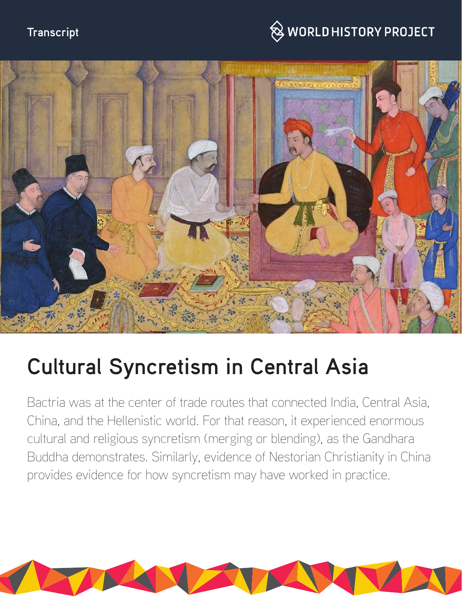# **Transcript**

# $\hspace{0.1cm}\otimes\hspace{0.1cm}$  WORLD HISTORY PROJECT



# **Cultural Syncretism in Central Asia**

Bactria was at the center of trade routes that connected India, Central Asia, China, and the Hellenistic world. For that reason, it experienced enormous cultural and religious syncretism (merging or blending), as the Gandhara Buddha demonstrates. Similarly, evidence of Nestorian Christianity in China provides evidence for how syncretism may have worked in practice.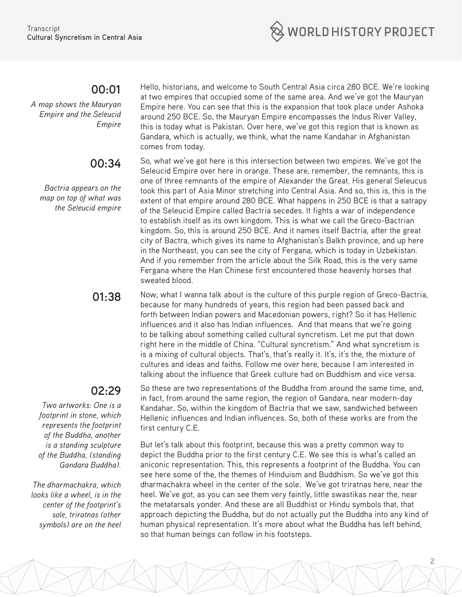

### **00:01**

*A map shows the Mauryan Empire and the Seleucid Empire*

## **00:34**

*Bactria appears on the map on top of what was the Seleucid empire* 

# **02:29**

*Two artworks: One is a footprint in stone, which represents the footprint of the Buddha, another is a standing sculpture of the Buddha, (standing Gandara Buddha).*

*The dharmachakra, which looks like a wheel, is in the center of the footprint's sole, triratnas (other symbols) are on the heel* Hello, historians, and welcome to South Central Asia circa 280 BCE. We're looking at two empires that occupied some of the same area. And we've got the Mauryan Empire here. You can see that this is the expansion that took place under Ashoka around 250 BCE. So, the Mauryan Empire encompasses the Indus River Valley, this is today what is Pakistan. Over here, we've got this region that is known as Gandara, which is actually, we think, what the name Kandahar in Afghanistan comes from today.

So, what we've got here is this intersection between two empires. We've got the Seleucid Empire over here in orange. These are, remember, the remnants, this is one of three remnants of the empire of Alexander the Great. His general Seleucus took this part of Asia Minor stretching into Central Asia. And so, this is, this is the extent of that empire around 280 BCE. What happens in 250 BCE is that a satrapy of the Seleucid Empire called Bactria secedes. It fights a war of independence to establish itself as its own kingdom. This is what we call the Greco-Bactrian kingdom. So, this is around 250 BCE. And it names itself Bactria, after the great city of Bactra, which gives its name to Afghanistan's Balkh province, and up here in the Northeast, you can see the city of Fergana, which is today in Uzbekistan. And if you remember from the article about the Silk Road, this is the very same Fergana where the Han Chinese first encountered those heavenly horses that sweated blood.

**01:38** Now, what I wanna talk about is the culture of this purple region of Greco-Bactria, because for many hundreds of years, this region had been passed back and forth between Indian powers and Macedonian powers, right? So it has Hellenic influences and it also has Indian influences. And that means that we're going to be talking about something called cultural syncretism. Let me put that down right here in the middle of China. "Cultural syncretism." And what syncretism is is a mixing of cultural objects. That's, that's really it. It's, it's the, the mixture of cultures and ideas and faiths. Follow me over here, because I am interested in talking about the influence that Greek culture had on Buddhism and vice versa.

> So these are two representations of the Buddha from around the same time, and, in fact, from around the same region, the region of Gandara, near modern-day Kandahar. So, within the kingdom of Bactria that we saw, sandwiched between Hellenic influences and Indian influences. So, both of these works are from the first century C.E.

But let's talk about this footprint, because this was a pretty common way to depict the Buddha prior to the first century C.E. We see this is what's called an aniconic representation. This, this represents a footprint of the Buddha. You can see here some of the, the themes of Hinduism and Buddhism. So we've got this dharmachakra wheel in the center of the sole. We've got triratnas here, near the heel. We've got, as you can see them very faintly, little swastikas near the, near the metatarsals yonder. And these are all Buddhist or Hindu symbols that, that approach depicting the Buddha, but do not actually put the Buddha into any kind of human physical representation. It's more about what the Buddha has left behind, so that human beings can follow in his footsteps.

2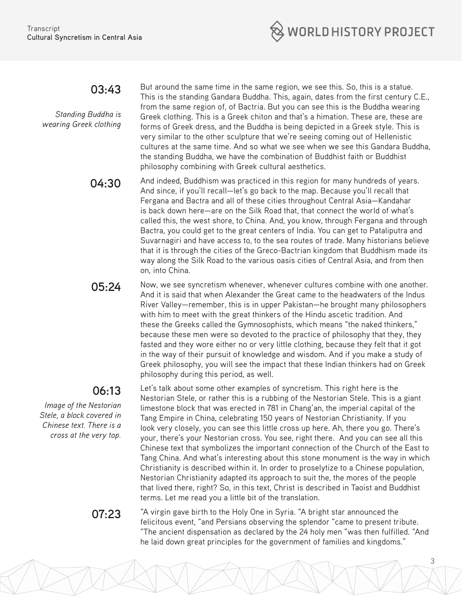

## **03:43**

*Standing Buddha is wearing Greek clothing*

But around the same time in the same region, we see this. So, this is a statue. This is the standing Gandara Buddha. This, again, dates from the first century C.E., from the same region of, of Bactria. But you can see this is the Buddha wearing Greek clothing. This is a Greek chiton and that's a himation. These are, these are forms of Greek dress, and the Buddha is being depicted in a Greek style. This is very similar to the other sculpture that we're seeing coming out of Hellenistic cultures at the same time. And so what we see when we see this Gandara Buddha, the standing Buddha, we have the combination of Buddhist faith or Buddhist philosophy combining with Greek cultural aesthetics.

**04:30** And indeed, Buddhism was practiced in this region for many hundreds of years. And since, if you'll recall—let's go back to the map. Because you'll recall that Fergana and Bactra and all of these cities throughout Central Asia—Kandahar is back down here—are on the Silk Road that, that connect the world of what's called this, the west shore, to China. And, you know, through Fergana and through Bactra, you could get to the great centers of India. You can get to Pataliputra and Suvarnagiri and have access to, to the sea routes of trade. Many historians believe that it is through the cities of the Greco-Bactrian kingdom that Buddhism made its way along the Silk Road to the various oasis cities of Central Asia, and from then on, into China.

**05:24** Now, we see syncretism whenever, whenever cultures combine with one another. And it is said that when Alexander the Great came to the headwaters of the Indus River Valley—remember, this is in upper Pakistan—he brought many philosophers with him to meet with the great thinkers of the Hindu ascetic tradition. And these the Greeks called the Gymnosophists, which means "the naked thinkers," because these men were so devoted to the practice of philosophy that they, they fasted and they wore either no or very little clothing, because they felt that it got in the way of their pursuit of knowledge and wisdom. And if you make a study of Greek philosophy, you will see the impact that these Indian thinkers had on Greek philosophy during this period, as well.

# **06:13**

*Image of the Nestorian Stele, a block covered in Chinese text. There is a cross at the very top.*

Let's talk about some other examples of syncretism. This right here is the Nestorian Stele, or rather this is a rubbing of the Nestorian Stele. This is a giant limestone block that was erected in 781 in Chang'an, the imperial capital of the Tang Empire in China, celebrating 150 years of Nestorian Christianity. If you look very closely, you can see this little cross up here. Ah, there you go. There's your, there's your Nestorian cross. You see, right there. And you can see all this Chinese text that symbolizes the important connection of the Church of the East to Tang China. And what's interesting about this stone monument is the way in which Christianity is described within it. In order to proselytize to a Chinese population, Nestorian Christianity adapted its approach to suit the, the mores of the people that lived there, right? So, in this text, Christ is described in Taoist and Buddhist terms. Let me read you a little bit of the translation.

3

**07:23** "A virgin gave birth to the Holy One in Syria. "A bright star announced the felicitous event, "and Persians observing the splendor "came to present tribute. "The ancient dispensation as declared by the 24 holy men "was then fulfilled. "And he laid down great principles for the government of families and kingdoms."